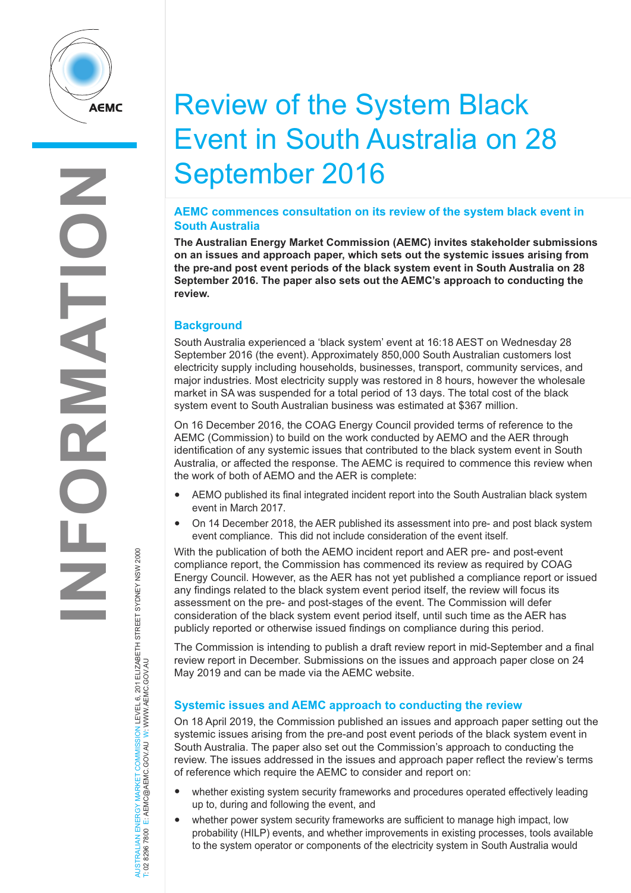

# Review of the System Black Event in South Australia on 28 September 2016

### **AEMC commences consultation on its review of the system black event in South Australia**

**The Australian Energy Market Commission (AEMC) invites stakeholder submissions on an issues and approach paper, which sets out the systemic issues arising from the pre-and post event periods of the black system event in South Australia on 28 September 2016. The paper also sets out the AEMC's approach to conducting the review.** 

## **Background**

South Australia experienced a 'black system' event at 16:18 AEST on Wednesday 28 September 2016 (the event). Approximately 850,000 South Australian customers lost electricity supply including households, businesses, transport, community services, and major industries. Most electricity supply was restored in 8 hours, however the wholesale market in SA was suspended for a total period of 13 days. The total cost of the black system event to South Australian business was estimated at \$367 million.

On 16 December 2016, the COAG Energy Council provided terms of reference to the AEMC (Commission) to build on the work conducted by AEMO and the AER through identification of any systemic issues that contributed to the black system event in South Australia, or affected the response. The AEMC is required to commence this review when the work of both of AEMO and the AER is complete:

- AEMO published its final integrated incident report into the South Australian black system event in March 2017.
- On 14 December 2018, the AER published its assessment into pre- and post black system event compliance. This did not include consideration of the event itself.

With the publication of both the AEMO incident report and AER pre- and post-event compliance report, the Commission has commenced its review as required by COAG Energy Council. However, as the AER has not yet published a compliance report or issued any findings related to the black system event period itself, the review will focus its assessment on the pre- and post-stages of the event. The Commission will defer consideration of the black system event period itself, until such time as the AER has publicly reported or otherwise issued findings on compliance during this period.

The Commission is intending to publish a draft review report in mid-September and a final review report in December. Submissions on the issues and approach paper close on 24 May 2019 and can be made via the AEMC website.

## **Systemic issues and AEMC approach to conducting the review**

On 18 April 2019, the Commission published an issues and approach paper setting out the systemic issues arising from the pre-and post event periods of the black system event in South Australia. The paper also set out the Commission's approach to conducting the review. The issues addressed in the issues and approach paper reflect the review's terms of reference which require the AEMC to consider and report on:

- whether existing system security frameworks and procedures operated effectively leading up to, during and following the event, and
- whether power system security frameworks are sufficient to manage high impact, low probability (HILP) events, and whether improvements in existing processes, tools available to the system operator or components of the electricity system in South Australia would

AUSTRALIAN ENERGY MARKET COMMISSION LEVEL 6, 201 ELIZABETH STREET SYDNEY NSW 2000<br>T: 02 8296 7800 E: AEMC@AEMC.GOV.AU W: WWW.AEMC.GOV.AU AUSTRALIAN ENERGY MARKET COMMISSION LEVEL 6, 201 ELIZABETH STREET SYDNEY NSW 2000 T: 02 8296 7800 E: AEMC@AEMC.GOV.AU W: WWW.AEMC.GOV.AU